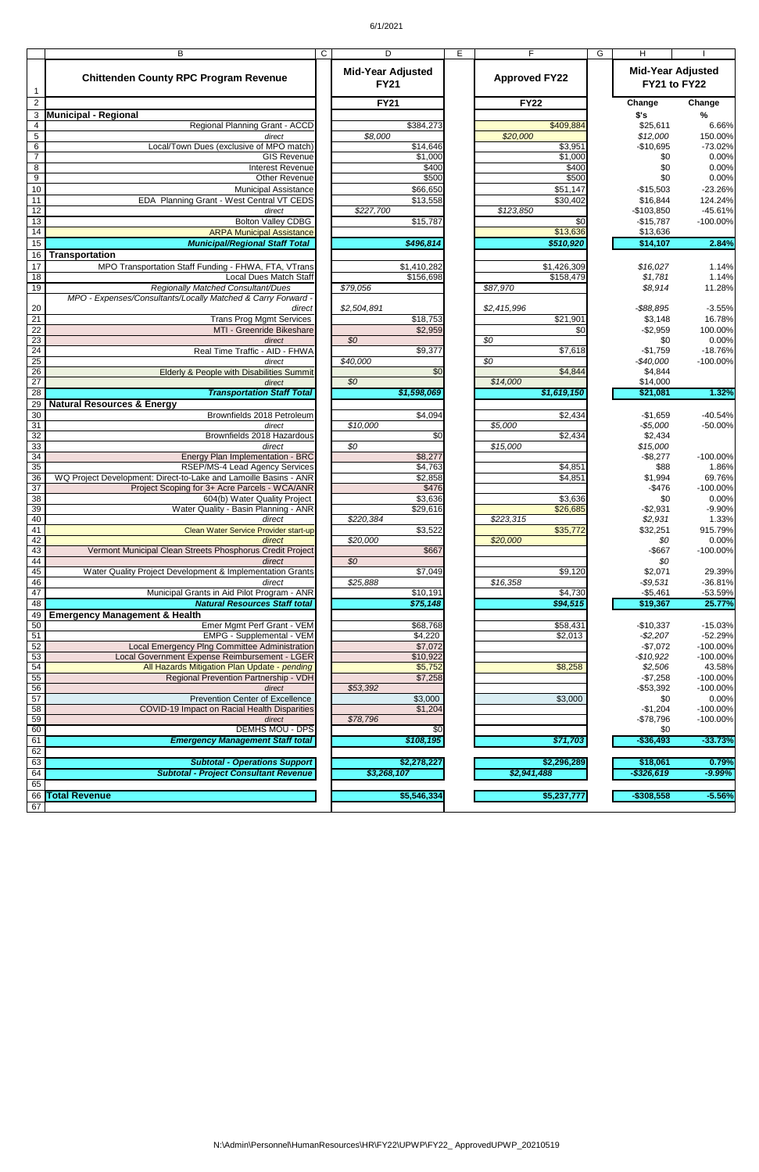## 6/1/2021

|                 | В                                                                   | C | D                                       | Е | F.                    | G | н                                        |                      |
|-----------------|---------------------------------------------------------------------|---|-----------------------------------------|---|-----------------------|---|------------------------------------------|----------------------|
| -1              | <b>Chittenden County RPC Program Revenue</b>                        |   | <b>Mid-Year Adjusted</b><br><b>FY21</b> |   | <b>Approved FY22</b>  |   | <b>Mid-Year Adjusted</b><br>FY21 to FY22 |                      |
| $\overline{2}$  |                                                                     |   | <b>FY21</b>                             |   | <b>FY22</b>           |   | Change                                   | Change               |
| 3               | <b>Municipal - Regional</b>                                         |   |                                         |   |                       |   | \$'s                                     | %                    |
| 4               | Regional Planning Grant - ACCD                                      |   | \$384,273                               |   | \$409,884             |   | \$25,611                                 | 6.66%                |
| 5               | direct                                                              |   | \$8,000                                 |   | \$20,000              |   | \$12,000                                 | 150.00%              |
| 6               | Local/Town Dues (exclusive of MPO match)                            |   | \$14,646                                |   | \$3,951               |   | $-$10,695$                               | $-73.02%$            |
| $\overline{7}$  | <b>GIS Revenue</b>                                                  |   | \$1,000                                 |   | \$1,000               |   | \$0                                      | 0.00%                |
| 8               | <b>Interest Revenue</b>                                             |   | \$400                                   |   | \$400                 |   | \$0                                      | 0.00%                |
| $\overline{9}$  | <b>Other Revenue</b>                                                |   | \$500                                   |   | \$500                 |   | \$0                                      | 0.00%                |
| 10              | Municipal Assistance                                                |   | \$66,650                                |   | \$51,147              |   | $-$15,503$                               | $-23.26%$            |
| $\overline{11}$ | EDA Planning Grant - West Central VT CEDS                           |   | \$13,558                                |   | \$30,402              |   | \$16,844                                 | 124.24%              |
| $\overline{12}$ | direct                                                              |   | \$227,700                               |   | \$123,850             |   | $-$103,850$                              | $-45.61%$            |
| 13<br>14        | <b>Bolton Valley CDBG</b><br><b>ARPA Municipal Assistance</b>       |   | \$15,787                                |   | \$0<br>\$13,636       |   | $-$15,787$<br>\$13,636                   | $-100.00%$           |
| 15              | <b>Municipal/Regional Staff Total</b>                               |   | \$496,814                               |   | \$510,920             |   | \$14,107                                 | 2.84%                |
| 16              | <b>Transportation</b>                                               |   |                                         |   |                       |   |                                          |                      |
|                 |                                                                     |   |                                         |   |                       |   |                                          |                      |
| 17              | MPO Transportation Staff Funding - FHWA, FTA, VTrans                |   | \$1,410,282                             |   | \$1,426,309           |   | \$16,027                                 | 1.14%                |
| 18<br>19        | Local Dues Match Staff<br>Regionally Matched Consultant/Dues        |   | \$156,698<br>\$79,056                   |   | \$158,479<br>\$87,970 |   | \$1,781<br>\$8,914                       | 1.14%<br>11.28%      |
|                 | MPO - Expenses/Consultants/Locally Matched & Carry Forward -        |   |                                         |   |                       |   |                                          |                      |
| 20              | direct                                                              |   | \$2,504,891                             |   | \$2,415,996           |   | $-$ \$88,895                             | $-3.55%$             |
| $\overline{21}$ | <b>Trans Prog Mgmt Services</b>                                     |   | \$18,753                                |   | \$21,901              |   | \$3,148                                  | 16.78%               |
| $\overline{22}$ | MTI - Greenride Bikeshare                                           |   | \$2,959                                 |   | \$0                   |   | $-$2,959$                                | 100.00%              |
| 23              | direct                                                              |   | \$0                                     |   | $\overline{50}$       |   | \$0                                      | 0.00%                |
| 24              | Real Time Traffic - AID - FHWA                                      |   | \$9,377                                 |   | \$7,618               |   | $-$1,759$                                | $-18.76%$            |
| 25              | direct                                                              |   | \$40,000                                |   | $\overline{50}$       |   | $-$40,000$                               | $-100.00%$           |
| 26              | Elderly & People with Disabilities Summit                           |   | $\sqrt{6}$                              |   | \$4,844               |   | \$4,844                                  |                      |
| 27              | direct                                                              |   | \$0                                     |   | \$14,000              |   | \$14,000                                 |                      |
| 28              | <b>Transportation Staff Total</b>                                   |   | \$1,598,069                             |   | \$1,619,150           |   | \$21,081                                 | 1.32%                |
| $\overline{29}$ | <b>Natural Resources &amp; Energy</b>                               |   |                                         |   |                       |   |                                          |                      |
| 30              | Brownfields 2018 Petroleum                                          |   | \$4,094                                 |   | \$2,434               |   | $-$1,659$                                | $-40.54%$            |
| 31              | direct                                                              |   | \$10,000                                |   | \$5,000               |   | $-$5,000$                                | -50.00%              |
| 32              | Brownfields 2018 Hazardous                                          |   | $\overline{30}$<br>\$0                  |   | \$2,434               |   | \$2,434                                  |                      |
| 33<br>34        | direct<br>Energy Plan Implementation - BRC                          |   | \$8,277                                 |   | \$15,000              |   | \$15,000<br>$-$8,277$                    | $-100.00%$           |
| 35              | RSEP/MS-4 Lead Agency Services                                      |   | \$4,763                                 |   | \$4,851               |   | \$88                                     | 1.86%                |
| 36              | WO Project Development: Direct-to-Lake and Lamoille Basins - ANR    |   | \$2,858                                 |   | \$4,851               |   | \$1,994                                  | 69.76%               |
| 37              | Project Scoping for 3+ Acre Parcels - WCA/ANR                       |   | \$476                                   |   |                       |   | $-$476$                                  | $-100.00%$           |
| 38              | 604(b) Water Quality Project                                        |   | \$3,636                                 |   | \$3,636               |   | \$0                                      | 0.00%                |
| 39              | Water Quality - Basin Planning - ANR                                |   | \$29,616                                |   | \$26,685              |   | $-$2,931$                                | $-9.90%$             |
| 40              | direct                                                              |   | \$220,384                               |   | \$223,315             |   | \$2,931                                  | 1.33%                |
| 41              | Clean Water Service Provider start-up                               |   | \$3,522                                 |   | \$35,772              |   | \$32,251                                 | 915.79%              |
| 42              | direct                                                              |   | \$20,000                                |   | \$20,000              |   | \$0                                      | 0.00%                |
| 43              | Vermont Municipal Clean Streets Phosphorus Credit Project           |   | \$667                                   |   |                       |   | $-$ \$667                                | $-100.00%$           |
| 44              | direct                                                              |   | $\overline{50}$                         |   |                       |   | \$0                                      |                      |
| 45              | Water Quality Project Development & Implementation Grants<br>direct |   | \$7,049                                 |   | \$9,120               |   | \$2,071                                  | 29.39%               |
| 46<br>47        | Municipal Grants in Aid Pilot Program - ANR                         |   | \$25,888<br>\$10,191                    |   | \$16,358<br>\$4,730   |   | $-$9,531$<br>$-$5,461$                   | $-36.81%$<br>-53.59% |
| 48              | <b>Natural Resources Staff total</b>                                |   | \$75,148                                |   | \$94,515              |   | \$19,367                                 | 25.77%               |
| 49              | <b>Emergency Management &amp; Health</b>                            |   |                                         |   |                       |   |                                          |                      |
| 50              | Emer Mgmt Perf Grant - VEM                                          |   | \$68,768                                |   | \$58,431              |   | $-$10,337$                               | $-15.03%$            |
| 51              | <b>EMPG - Supplemental - VEM</b>                                    |   | \$4,220                                 |   | \$2,013               |   | $-$2,207$                                | $-52.29%$            |
| 52              | Local Emergency Plng Committee Administration                       |   | \$7,072                                 |   |                       |   | $-$7,072$                                | $-100.00\%$          |
| 53              | Local Government Expense Reimbursement - LGER                       |   | \$10,922                                |   |                       |   | $-$10,922$                               | $-100.00%$           |
| 54              | All Hazards Mitigation Plan Update - pending                        |   | \$5,752                                 |   | \$8,258               |   | \$2,506                                  | 43.58%               |
| 55              | Regional Prevention Partnership - VDH                               |   | \$7,258                                 |   |                       |   | $-$7,258$                                | $-100.00%$           |
| 56              | direct                                                              |   | \$53,392                                |   |                       |   | $-$53,392$                               | $-100.00%$           |
| 57              | <b>Prevention Center of Excellence</b>                              |   | \$3,000                                 |   | \$3,000               |   | \$0                                      | 0.00%                |
| 58              | COVID-19 Impact on Racial Health Disparities                        |   | \$1,204                                 |   |                       |   | $-$1,204$                                | $-100.00%$           |
| 59<br>60        | direct<br><b>DEMHS MOU - DPS</b>                                    |   | \$78,796                                |   |                       |   | $-$78,796$                               | $-100.00%$           |
| 61              | <b>Emergency Management Staff total</b>                             |   | \$0<br>\$108,195                        |   |                       |   | \$0<br>$-$36,493$                        | $-33.73%$            |
| 62              |                                                                     |   |                                         |   | \$71,703              |   |                                          |                      |
| 63              | <b>Subtotal - Operations Support</b>                                |   | \$2,278,227                             |   | \$2,296,289           |   | \$18,061                                 | 0.79%                |
| 64              | <b>Subtotal - Project Consultant Revenue</b>                        |   | \$3,268,107                             |   | \$2,941,488           |   | $-$ \$326,619                            | $-9.99%$             |
| 65              |                                                                     |   |                                         |   |                       |   |                                          |                      |
|                 | 66 Total Revenue                                                    |   | \$5,546,334                             |   | \$5,237,777           |   | $-$308,558$                              | $-5.56%$             |
| 67              |                                                                     |   |                                         |   |                       |   |                                          |                      |
|                 |                                                                     |   |                                         |   |                       |   |                                          |                      |

N:\Admin\Personnel\HumanResources\HR\FY22\UPWP\FY22\_ ApprovedUPWP\_20210519